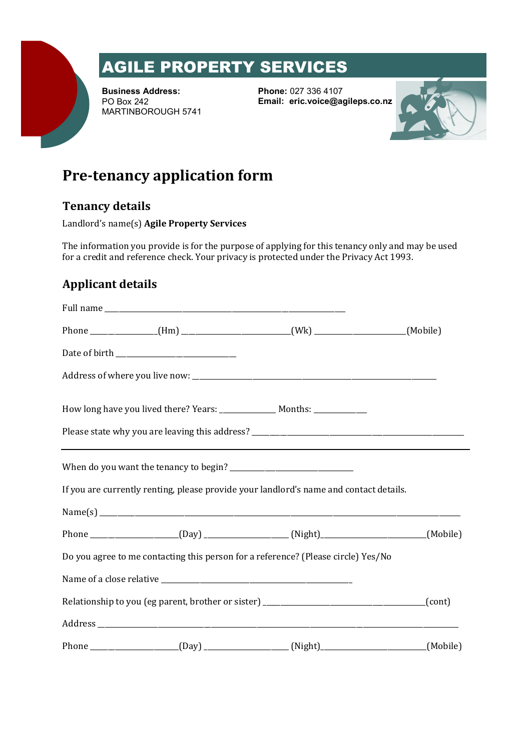

# AGILE PROPERTY SERVICES

**Business Address:** PO Box 242 MARTINBOROUGH 5741

**Phone:** 027 336 4107 **Email: eric.voice@agileps.co.nz**



## **Pre-tenancy application form**

## **Tenancy details**

Landlord's name(s) **Agile Property Services**

The information you provide is for the purpose of applying for this tenancy only and may be used for a credit and reference check. Your privacy is protected under the Privacy Act 1993.

### **Applicant details**

|  |  | Phone _______________(Hm) ____________________(Wk) _________________(Mobile)               |  |
|--|--|--------------------------------------------------------------------------------------------|--|
|  |  |                                                                                            |  |
|  |  |                                                                                            |  |
|  |  | How long have you lived there? Years: ______________ Months: ____________                  |  |
|  |  |                                                                                            |  |
|  |  |                                                                                            |  |
|  |  | If you are currently renting, please provide your landlord's name and contact details.     |  |
|  |  |                                                                                            |  |
|  |  | Phone ______________________(Day) ___________________(Night)_____________________(Mobile)  |  |
|  |  | Do you agree to me contacting this person for a reference? (Please circle) Yes/No          |  |
|  |  |                                                                                            |  |
|  |  |                                                                                            |  |
|  |  |                                                                                            |  |
|  |  | Phone ______________________(Day) ____________________(Night)_____________________(Mobile) |  |